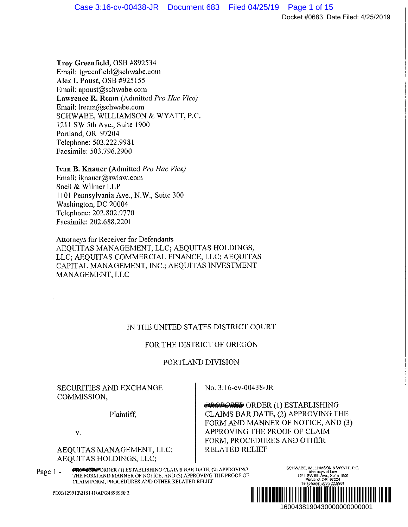**Troy Greenfield,** OSB #892534 Email: tgreenfield@schwabe.com **Alex** I. **Poust,** OSB #925 I 55 Email: apoust@schwabe.com **Lawrence R. Ream** (Admitted *Pro Hae Vice)*  Email: lream@schwabe.com SCHWABE, WILLIAMSON & WYATT, P.C. 1211 SW 5th Ave., Suite 1900 Portland, OR 97204 Telephone: 503.222.9981 Facsimile: 503.796.2900

**Ivan B. Knauer** (Admitted *Pro Hae Vice)*  Email: iknauer@swlaw.com Snell & Wilmer LLP 1101 Pennsylvania Ave., N.W., Suite 300 Washington, DC 20004 Telephone: 202.802.9770 Facsimile: 202.688.220 I

Attorneys for Receiver for Defendants AEQUITAS MANAGEMENT, LLC; AEQUJTAS HOLDINGS, LLC; AEQUITAS COMMERCIAL FINANCE, LLC; AEQUITAS CAPITAL MANAGEMENT, INC.; AEQUITAS INVESTMENT MANAGEMENT, LLC

# IN THE UNITED STATES DISTRICT COURT

# FOR THE DISTRICT OF OREGON

# PORTLAND DIVISION

# SECURITIES AND EXCHANGE COMMISSION,

Plaintiff,

v.

## AEQUITAS MANAGEMENT, LLC; AEQUITAS HOLDINGS, LLC;

No. 3:16-cv-00438-JR

**tJQOPOPE::!?** ORDER (1) ESTABLISHING CLAIMS BAR DATE, (2) APPROVING THE FORM AND MANNER OF NOTICE, AND (3) APPROVING THE PROOF OF CLAIM FORM, PROCEDURES AND OTHER RELATED RELIEF  $[2] \begin{tabular}{l} \multicolumn{1}{l}{{\bf \small{A}}}{\bf \small{D}}{\bf \small{E}}{\bf \small{STABLISHING}}\\ \multicolumn{1}{l}{\bf \small{C}}{\bf \small{D}}{\bf \small{P}}{\bf \small{PROVING THE}}\\ \multicolumn{1}{l}{\bf \small{OIF NOTICE}, AND (3)}\\ \multicolumn{1}{l}{\bf \small{OIF NOTICE}, AND (3)}\\ \multicolumn{1}{l}{\bf \small{S}}{\bf \small{C}}{\bf \small{D}}{\bf \small{C}}{\bf \small{D}}{\bf \small{C}}{\bf \small{D}}{\bf \small{D}}{\bf \small{D}}{\bf \small$ 

Page 1 - **PROPERTY ORDER(I) ESTABLISHING CLAIMS BAR DATE, (2) APPROVING** THE FORM AND MANNER OF NOTICE, AND (31 APPROVING T!IE PROOF OF CLAIM FORM, PROCEDURES AND OTHER RELATED RELIEF

PDX\1299121215141 \AP\24898980.2

<sup>1211</sup>s~~~X~t~~e 1000 Portland, OR 97204 Telephone- 503.222.9981 ~ax: 503.796.2900 ¨1¤\\$F3\$> !f«

SCHWABE, WILLIAMSON & WYATT, P.C.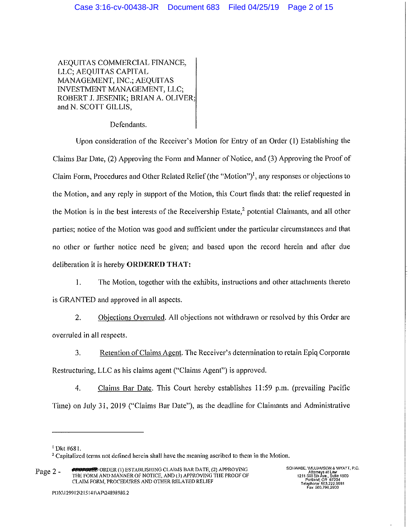AEQUITAS COMMERCIAL FINANCE, LLC; AEQUITAS CAPITAL MANAGEMENT, INC.; AEQUITAS INVESTMENT MANAGEMENT, LLC; ROBERT J. JESENIK; BRIAN A. OLIVER; and N. SCOTT GILLIS,

Defendants.

Upon consideration of the Receiver's Motion for Entry of an Order (l) Establishing the Claims Bar Date, (2) Approving the Form and Manner of Notice, and (3) Approving the Proof of Claim Form, Procedures and Other Related Relief (the "Motion")1, any responses or objections to the Motion, and any reply in support of the Motion, this Court finds that: the relief requested in the Motion is in the best interests of the Receivership Estate,<sup>2</sup> potential Claimants, and all other parties; notice of the Motion was good and sufficient under the particular circumstances and that no other or fu1ther notice need be given; and based upon the record herein and after due deliberation it is hereby **ORDERED THAT:** 

1. The Motion, together with the exhibits, instructions and other attachments thereto is GRANTED and approved in all aspects.

2. Objections Overruled. All objections not withdrawn or resolved by this Order are overrnled in all respects.

3. Retention of Claims Agent. The Receiver's determination to retain Epiq Corporate Restructuring, LLC as his claims agent ("Claims Agent") is approved.

4. Claims Bar Date. This Court hereby establishes 11 :59 p.m. (prevailing Pacific Time) on July 31, 2019 ("Claims Bar Date"), as the deadline for Claimants and Administrative

<sup>1</sup>Dkt #68 I.

<sup>&</sup>lt;sup>2</sup> Capitalized terms not defined herein shall have the meaning ascribed to them in the Motion.

Page 2 - **PROPOSED** ORDER (I) ESTABLISHING CLAIMS BAR DATE, (2) APPROVING **THE FORM AND MANNER OF NOTICE, AND (3) APPROVING TIIE PROOF OF CLAIM FQR;\.f, PROCEDURES AND OTHER RELATED RELIEF**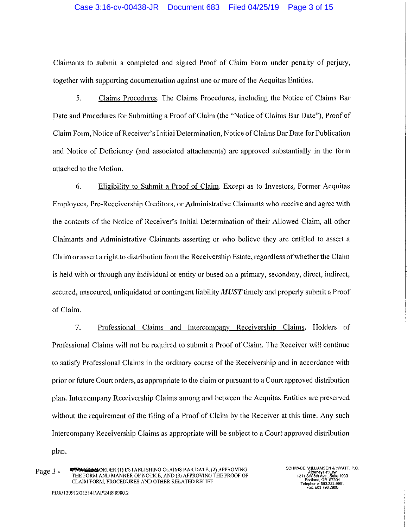#### Case 3:16-cv-00438-JR Document 683 Filed 04/25/19 Page 3 of 15

Claimants to submit a completed and signed Proof of Claim Form under penalty of petjury, together with supporting documentation against one or more of the Aequitas Entities.

5. Claims Procedures. The Claims Procedures, including the Notice of Claims Bar Date and Procedures for Submitting a Proof of Claim (the "Notice of Claims Bar Date"), Proof of Claim Form, Notice of Receiver's Initial Determination, Notice of Claims Bar Date for Publication and Notice of Deficiency (and associated attachments) are approved substantially in the form attached to the Motion.

6. Eligibilitv to Submit a Proof of Claim. Except as to Investors, Former Aequitas Employees, Pre-Receivership Creditors, or Administrative Claimants who receive and agree with the contents of the Notice of Receiver's Initial Determination of their Allowed Claim, all other Claimants and Administrative Claimants asserting or who believe they are entitled to assert a Claim or assert a right to distribution from the Receivership Estate, regardless of whether the Claim is held with or through any individual or entity or based on a primary, secondary, direct, indirect, secured, unsecured, unliquidated or contingent liability **MUST** timely and properly submit a Proof of Claim.

7. Professional Claims and Intercompany Receivership Claims. Holders of Professional Claims will not be required to submit a Proof of Claim. The Receiver will continue to satisfy Professional Claims in the ordinary course of the Receivership and in accordance with prior or future Court orders, as appropriate to the claim or pursuant to a Court approved distribution plan. Intercompany Receivership Claims among and between the Aequitas Entities are preserved without the requirement of the filing of a Proof of Claim by the Receiver at this time. Any such Intercompany Receivership Claims as appropriate will be subject to a Court approved distribution plan.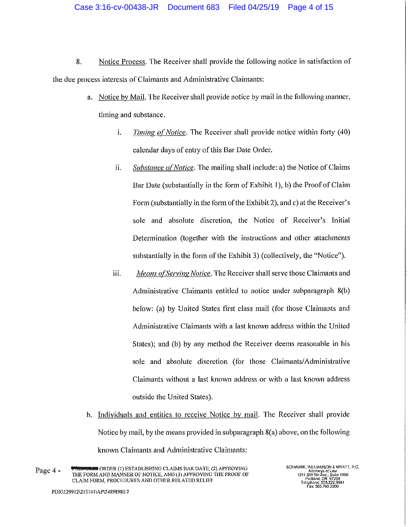- 8. Notice Process. The Receiver shall provide the following notice in satisfaction of the due process interests of Claimants and Administrative Claimants:
	- a. Notice by Mail. The Receiver shall provide notice by mail in the following manner, timing and substance.
		- i. *Timing of Notice*. The Receiver shall provide notice within forty (40) calendar days of entry of this Bar Date Order.
		- ii. *Substance of Notice*. The mailing shall include: a) the Notice of Claims Bar Date (substantially in the form of Exhibit 1), b) the Proof of Claim Form (substantially in the form of the Exhibit 2), and c) at the Receiver's sole and absolute discretion, the Notice of Receiver's Initial Determination (together with the instructions and other attachments substantially in the form of the Exhibit 3) (collectively, the "Notice").
		- iii. *Means of Serving Notice*. The Receiver shall serve those Claimants and Administrative Claimants entitled to notice under subparagraph 8(b) below: (a) by United States first class mail (for those Claimants and Administrative Claimants with a last known address within the United States); and (b) by any method the Receiver deems reasonable in his sole and absolute discretion (for those Claimants/Administrative Claimants without a last known address or with a last known address outside the United States).
	- b. Individuals and entities to receive Notice by mail. The Receiver shall provide Notice by mail, by the means provided in subparagraph 8(a) above, on the following known Claimants and Administrative Claimants: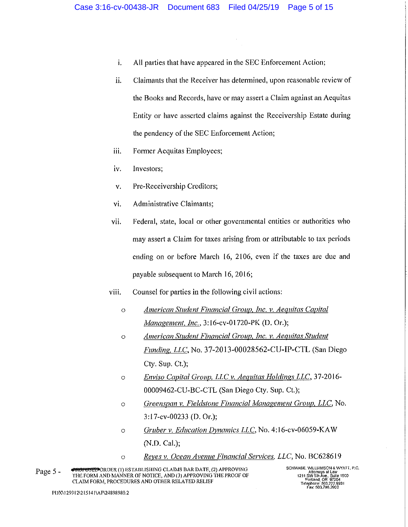- i. All parties that have appeared in the SEC Enforcement Action;
- **ii.** Claimants that the Receiver has determined, upon reasonable review of the Books and Records, have or may assert a Claim against an Aequitas Entity or have asserted claims against the Receivership Estate during the pendency of the SEC Enforcement Action;
- iii. Former Aequitas Employees;
- iv. Investors;
- v. Pre-Receivership Creditors;
- vi. Administrative Claimants;
- vii. Federal, state, local or other governmental entities or authorities who may assert a Claim for taxes arising from or attributable to tax periods ending on or before March 16, 2106, even if the taxes are due and payable subsequent to March 16, 2016;

## viii. Counsel for parties in the following civil actions:

- o *American Student Financial Group. Inc. v. Aequitas Capital 1vfanagemenl. Inc.,* 3:16-cv-01720-PK (D. Or.);
- o *American Student Financial Group, Inc. v. Aequitas Student Funding. LLC,* No. 37-2013-00028562-CU-IP-CTL (San Diego Cty. Sup. Ct.);
- o *Enviso Capital Group, LLC v. Aequitas Holdings LLC,* 37-2016- 00009462-CU-BC-CTL (San Diego Cty. Sup. Ct.);
- $\circ$  *Greenspan v. Fieldstone Financial Management Group, LLC, No.* 3:l 7-cv-00233 (D. Or.);
- o *Gruber v. Education Dynamics LLC,* No. 4: l 6-cv-06059-KA W (N.D. Cal.);
- o *Reves v. Ocean Avenue Financial Services. LLC,* No. BC628619

Page 5 - **#itdi GSE&OROER(l) ESTABLISHING CLAIMS BARDATE,(2) APPROVING**  THE FORM AND MANNER OF NOTICE, AND (3) APPROVING THE PROOF OF **CLAIM FORM, PROCEDURES AND OTHER RELATED RELIEF** 

**SCHWABE, Vvlll1AM\$0N & WfATT, P.C. 1211 s~°!Jtxee~:** ~~e **1900 Portland, OR 97204** Telephone: 503,222,9981<br>Fay: 503 798 2900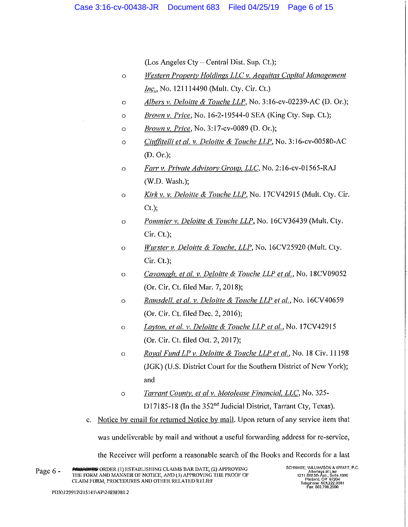(Los Angeles Cty- Central Dist. Sup. Ct.);

- $\circ$ *Western Property Holdings LLC v. Aequitas Capital Management Inc.*, No. 121114490 (Mult. Cty. Cir. Ct.)
- o *Albers v. Deloitte & Touche LLP,* No. 3:16-cv-02239-AC (D. Or.);
- o *Brown v. Price,* No. l 6-2-19544-0 SEA (King Cty. Sup. Ct.);
- o *Brown v. Price,* No. 3: l 7-cv-0089 (D. Or.);
- o *Ciufjitelli et al. v. Deloitte & Touche LLP,* No. 3:16-cv-00580-AC (D. Or.);
- o *Farr v. Private Advisorv Group. LLC,* No. 2:16-cv-01565-RAJ (W.D. Wash.);
- o *Kirkv. v. Deloitte & Touche LLP,* No. l7CV42915 (Mult. Cty. Cir. Ct.);
- o *Pommier v. Deloitte & Touche LLP,* No. 16CV36439 (Mult. Cty. Cir. Ct.);
- <sup>0</sup>*Wurster v. Deloitte & Touche. LLP,* No. l6CV25920 (Mult. Cty. Cir. Ct.);
- <sup>0</sup>*Cavanagh. et al. v. Deloitte & Touche LLP et al.,* No. **l** 8CV09052 (Or. Cir. Ct. filed Mar. 7, 2018);
- o *Ramsdell. et al. v. Deloitte & Touche LLP et al.,* No. l 6CV 40659 (Or. Cir. Ct. filed Dec. 2, 2016);
- o *Layton, et al. v. Deloitte & Touche LLP et al.*, No. 17CV42915 (Or. Cir. Ct. filed Oct. 2, 2017);
- o *Raval Fund LP v. Deloitte & Touche LLP et al.,* No. 18 Civ. 11198 (JGK) (U.S. District Court for the Southern District of New York); and
- o *Tarrant Countv. et al v. 1'vfotolease Financial. LLC,* No. 325- D17185-18 (In the 352<sup>nd</sup> Judicial District, Tarrant Cty, Texas).
- c. Notice by email for returned Notice by mail. Upon return of any service item that

was undeliverable by mail and without a useful forwarding address for re-service,

the Receiver will perform a reasonable search of the Books and Records for a last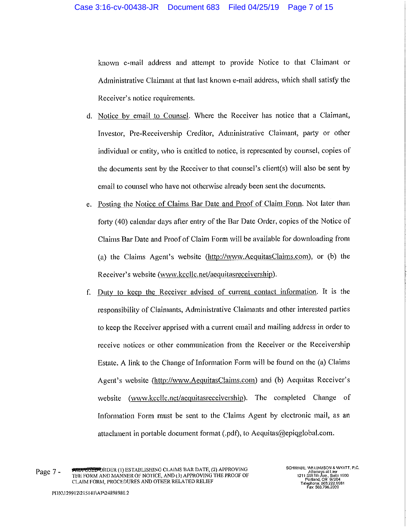known e-mail address and attempt to provide Notice to that Claimant or Administrative Claimant at that last known e-mail address, which shall satisfy the Receiver's notice requirements.

- d. Notice by email to Counsel. Where the Receiver has notice that a Claimant, Investor, Pre-Receivership Creditor, Administrative Claimant, party or other individual or entity, who is entitled to notice, is represented by counsel, copies of the documents sent by the Receiver to that counsel's client(s) will also be sent by email to counsel who have not otherwise already been sent the documents.
- e. Posting the Notice of Claims Bar Date and Proof of Claim Form. Not later than fotty ( 40) calendar days after entry of the Bar Date Order, copies of the Notice of Claims Bar Date and Proof of Claim Form will be available for downloading from (a) the Claims Agent's website (http://www.AeguitasClaims.com), or (b) the Receiver's website (www.kccllc.net/aeguitasreceivership).
- f. Duty to keep the Receiver advised of current contact information. It is the responsibility of Claimants, Administrative Claimants and other interested parties to keep the Receiver apprised with a current email and mailing address in order to receive notices or other communication from the Receiver or the Receivership Estate. A link to the Change of Information Form will be found on the (a) Claims Agent's website (http://www.AeguitasClaims.com) and (b) Aequitas Receiver's website (www.kccllc.net/aequitasreceivership). The completed Change of Information Form must be sent to the Claims Agent by electronic mail, as an attachment in portable document format (.pdf), to Aequitas@epiqglobal.com.

Page 7 • **toffepo**RDER(!) ESTABLISHING CLAIMS BAR DATE, (2) APPROVING THE FORM AND MANNER OF NOTICE, AND (3) APPROVING THE PROOF OF CLAIM FORM, PROCEDURES AND OTHER RELATED RELIEF

SCHVVABE, 'A1lllAMSON & WYATT, P.C. 1211 SW 5lh Áve., Suite 1900<br>Portland, OR 97204 Telephone: 503.222.9981 Fax 503.700.2000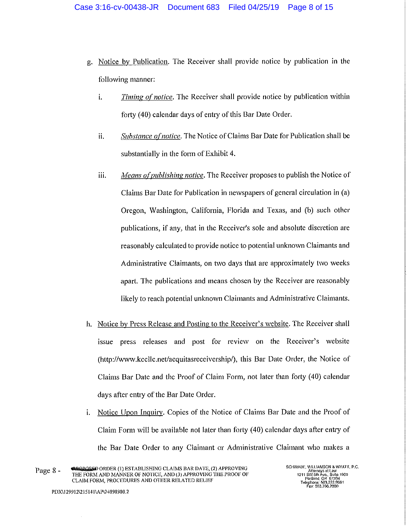- g. Notice by Publication. The Receiver shall provide notice by publication in the following manner:
	- i. *Timing of notice.* The Receiver shall provide notice by publication within forty (40) calendar days of entry of this Bar Date Order.
	- ii. *Substance of notice*. The Notice of Claims Bar Date for Publication shall be substantially in the form of Exhibit 4.
	- iii. *ivfeans ofpub/ishing notice.* The Receiver proposes to publish the Notice of Claims Bar Date for Publication in newspapers of general circulation in (a) Oregon, Washington, California, Florida and Texas, and (b) such other publications, if any, that in the Receiver's sole and absolute discretion are reasonably calculated to provide notice to potential unknown Claimants and Administrative Claimants, on two days that are approximately two weeks apart. The publications and means chosen by the Receiver are reasonably likely to reach potential unknown Claimants and Administrative Claimants.
- h. Notice by Press Release and Posting to the Receiver's website. The Receiver shall issue press releases and post for review on the Receiver's website (http://www.kccllc.net/aequitasreceivership/), this Bar Date Order, the Notice of Claims Bar Date and the Proof of Claim Form, not later than forty (40) calendar days after entry of the Bar Date Order.
- i. Notice Upon Inquiry. Copies of the Notice of Claims Bar Date and the Proof of Claim Form will be available not later than forty (40) calendar days after entry of the Bar Date Order to any Claimant or Administrative Claimant who makes a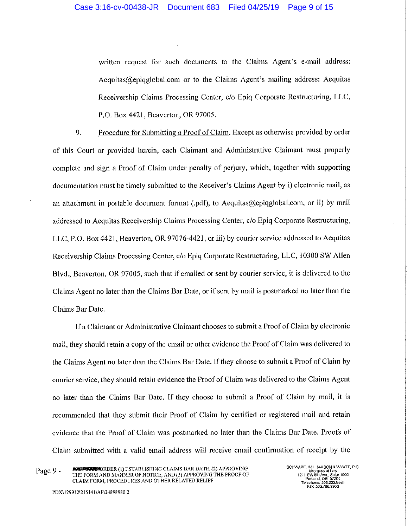written request for such documents to the Claims Agent's e-mail address: Aequitas@epiqglobal.com or to the Claims Agent's mailing address: Aequitas Receivership Claims Processing Center, c/o Epiq Corporate Restructuring, LLC, P.O. Box 4421, Beaverton, OR 97005.

9. Procedure for Submitting a Proof of Claim. Except as otherwise provided by order of this Court or provided herein, each Claimant and Administrative Claimant must properly complete and sign a Proof of Claim under penalty of perjury, which, together with supporting documentation must be timely submitted to the Receiver's Claims Agent by i) electronic mail, as an attachment in portable document format (.pdf), to Aequitas@epiqglobal.com, or ii) by mail addressed to Aequitas Receivership Claims Processing Center, c/o Epiq Corporate Restructuring, LLC, P.O. Box 4421, Beaverton, OR 97076-4421, or iii) by courier service addressed to Aequitas Receivership Claims Processing Center, c/o Epiq Corporate Restructuring, LLC, 10300 SW Allen Blvd., Beaverton, OR 97005, such that if emailed or sent by courier service, it is delivered to the Claims Agent no later than the Claims Bar Date, or if sent by mail is postmarked no later than the Claims Bar Date.

If a Claimant or Administrative Claimant chooses to submit a Proof of Claim by electronic mail, they should retain a copy of the email or other evidence the Proof of Claim was delivered to the Claims Agent no later than the Claims Bar Date. If they choose to submit a Proof of Claim by courier service, they should retain evidence the Proof of Claim was delivered to the Claims Agent no later than the Claims Bar Date. If they choose to submit a Proof of Claim by mail, it is recommended that they submit their Proof of Claim by certified or registered mail and retain evidence that the Proof of Claim was postmarked no later than the Claims Bar Date. Proofs of Claim submitted with a valid email address will receive email confirmation of receipt by the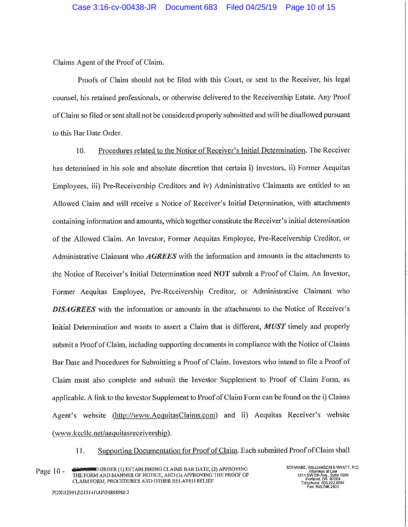Claims Agent of the Proof of Claim.

Proofs of Claim should not be filed with this Coutt, or sent to the Receiver, his legal counsel, his retained professionals, or otherwise delivered to the Receivership Estate. Any Proof of Claim so filed or sent shall not be considered properly submitted and will be disallowed pursuant to this Bar Date Order.

10. Procedures related to the Notice of Receiver's Initial Determination. The Receiver has determined in his sole and absolute discretion that certain **i)** Investors, ii) Fonner Aequitas Employees, iii) Pre-Receivership Creditors and iv) Administrative Claimants are entitled to an Allowed Claim and will receive a Notice of Receiver's Initial Determination, with attachments containing information and amounts, which together constitute the Receiver's initial determination of the Allowed Claim. An Investor, Former Aequitas Employee, Pre-Receivership Creditor, or Administrative Claimant who *AGREES* with the information and amounts in the attachments to the Notice of Receiver's Initial Determination need **NOT** submit a Proof of Claim. An Investor, Former Aequitas Employee, Pre-Receivership Creditor, or Administrative Claimant who *DISAGREES* with the information or amounts in the attachments to the Notice of Receiver's Initial Determination and wants to assert a Claim that is different, *MUST* timely and properly submit a Proof of Claim, including supporting documents in compliance with the Notice of Claims Bar Date and Procedures for Submitting a Proof of Claim. Investors who intend to file a Proof of Claim must also complete and submit the Investor Supplement to Proof of Claim Form, as applicable. A link to the Investor Supplement to Proof of Claim Form can be found on the i) Claims Agent's website (http://www.AequitasClaims.com) and ii) Aequitas Receiver's website *(www.kccllc.net/aequitasreceivership).* 

11. Supporting Documentation for Proof of Claim. Each submitted Proof of Claim shall

Page 10 - **ERGPOSSI**O ORDER (I) ESTABLISHING CLAIMS BAR DATE, (2) APPROVING THE FORM AND MANNER OF NOTICE, AND (3) APPROVING THE PROOF OF **CLAIM FORM, PROCEDURES AND OTHER RELATED RELIEF**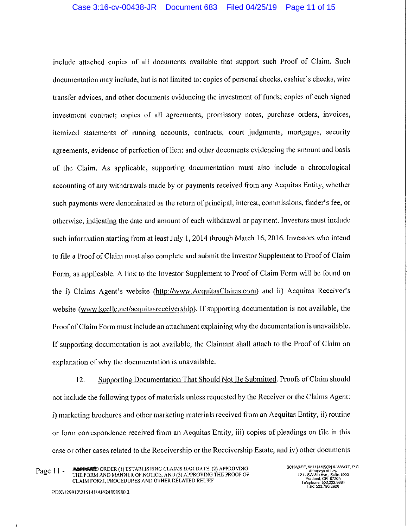include attached copies of all documents available that support such Proof of Claim. Such documentation may include, but is not limited to: copies of personal checks, cashier's checks, wire transfer advices, and other documents evidencing the investment of funds; copies of each signed investment contract; copies of all agreements, promissory notes, purchase orders, invoices, itemized statements of rnnning accounts., contracts, court judgments, mortgages, security agreements, evidence of perfection of lien; and other documents evidencing the amount and basis of the Claim. As applicable, supporting documentation must also include a chronological accounting of any withdrawals made by or payments received from any Aequitas Entity, whether such payments were denominated as the return of principal, interest, commissions, finder's fee, or otherwise, indicating the date and amount of each withdrawal or payment. Investors must include such information starting from at least July I, 2014 through March 16, 2016. Investors who intend to file a Proof of Claim must also complete and submit the Investor Supplement to Proof of Claim Form, as applicable. A link to the Investor Supplement to Proof of Claim Form will be found on the i) Claims Agent's website (http://www.AequitasClaims.com) and ii) Aequitas Receiver's website (www.kccllc.net/aequitasreceivership). If supporting documentation is not available, the Proof of Claim Form must include an attachment explaining why the documentation is unavailable. If supporting documentation is not available, the Claimant shall attach to the Proof of Claim an explanation of why the documentation is unavailable.

12. Supporting Documentation That Should Not Be Submitted. Proofs of Claim should not include the following types of materials unless requested by the Receiver or the Claims Agent: i) marketing brochures and other marketing materials received from an Aequitas Entity, ii) routine or form correspondence received from an Aequitas Entity, iii) copies of pleadings on file in this case or other cases related to the Receivership or the Receivership Estate, and iv) other documents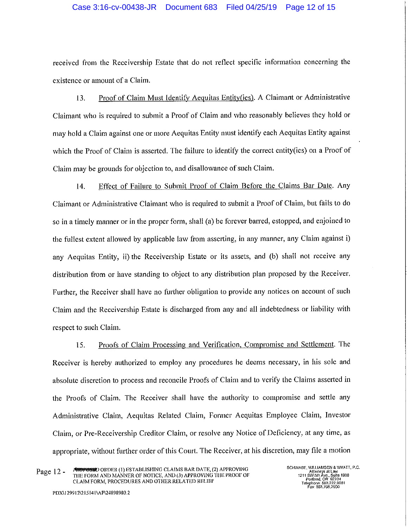## Case 3:16-cv-00438-JR Document 683 Filed 04/25/19 Page 12 of 15

received from the Receivership Estate that do not reflect specific information concerning the existence or amount of a Claim.

13. Proof of Claim Must Identify Aequitas Entity(ies). A Claimant or Administrative Claimant who is required to submit a Proof of Claim and who reasonably believes they hold or may hold a Claim against one or more Aequitas Entity must identify each Aequitas Entity against which the Proof of Claim is asserted. The failure to identify the correct entity(ies) on a Proof of Claim may be grounds for objection to, and disallowance of such Claim.

14. Effect of Failure to Submit Proof of Claim Before the Claims Bar Date. Any Claimant or Administrative Claimant who is required to submit a Proof of Claim, but fails to do so in a timely manner or in the proper form, shall (a) be forever barred, estopped, and enjoined to the fullest extent allowed by applicable law from asserting, in any manner, any Claim against i) any Aequitas Entity, ii) the Receivership Estate or its assets, and (b) shall not receive any distribution from or have standing to object to any distribution plan proposed by the Receiver. Further, the Receiver shall have no further obligation to provide any notices on account of such Claim and the Receivership Estate is discharged from any and all indebtedness or liability with respect to such Claim.

15. Proofs of Claim Processing and Verification, Compromise and Settlement. The Receiver is hereby authorized to employ any procedures he deems necessary, in his sole and absolute discretion to process and reconcile Proofs of Claim and to verify the Claims assetied in the Proofs of Claim. The Receiver shall have the authority to compromise and settle any Administrative Claim, Aequitas Related Claim, Former Aequitas Employee Claim, Investor Claim, or Pre-Receivership Creditor Claim, or resolve any Notice of Deficiency, at any time, as appropriate, without further order of this Court. The Receiver, at his discretion, may file a motion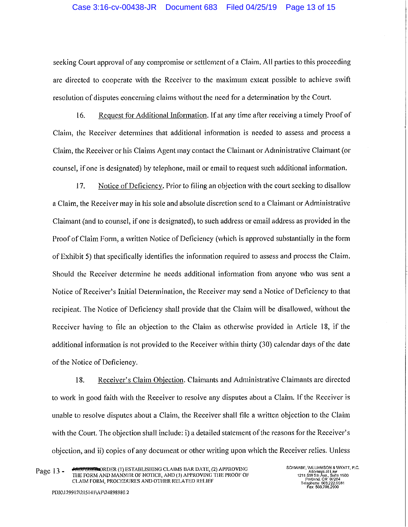#### Case 3:16-cv-00438-JR Document 683 Filed 04/25/19 Page 13 of 15

seeking Court approval of any compromise or settlement of a Claim. All parties to this proceeding are directed to cooperate with the Receiver to the maximum extent possible to achieve swift resolution of disputes concerning claims without the need for a determination by the Court.

16. Request for Additional Information. If at any time after receiving a timely Proof of Claim, the Receiver determines that additional information is needed to assess and process a Claim, the Receiver or his Claims Agent may contact the Claimant or Administrative Claimant ( or counsel, if one is designated) by telephone, mail or email to request such additional information.

17. Notice of Deficiency. Prior to filing an objection with the court seeking to disallow a Claim, the Receiver may in his sole and absolute discretion send to a Claimant or Administrative Claimant (and to counsel, if one is designated), to such address or email address as provided in the Proof of Claim Form, a written Notice of Deficiency (which is approved substantially in the form of Exhibit 5) that specifically identifies the information required to assess and process the Claim. Should the Receiver determine he needs additional information from anyone who was sent a Notice of Receiver's Initial Determination, the Receiver may send a Notice of Deficiency to that recipient. The Notice of Deficiency shall provide that the Claim will be disallowed, without the Receiver having to file an objection to the Claim as otherwise provided in Article 18, if the additional information is not provided to the Receiver within thirty (30) calendar days of the date of the Notice of Deficiency.

18. Receiver's Claim Objection. Claimants and Administrative Claimants are directed to work in good faith with the Receiver to resolve any disputes about a Claim. If the Receiver is unable to resolve disputes about a Claim, the Receiver shall tile a written objection to the Claim with the Court. The objection shall include: i) a detailed statement of the reasons for the Receiver's objection, and ii) copies of any document or other writing upon which the Receiver relies. Unless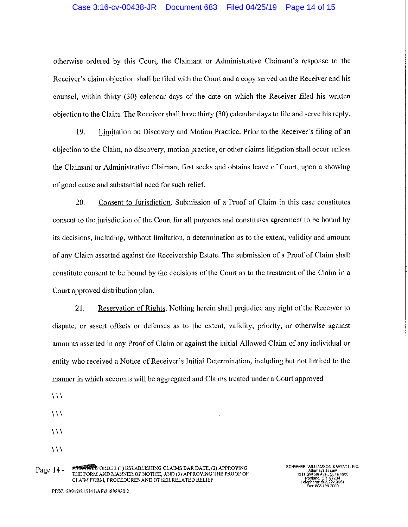### Case 3:16-cv-00438-JR Document 683 Filed 04/25/19 Page 14 of 15

otherwise ordered by this Court, the Claimant or Administrative Claimant's response to the Receiver's claim objection shall be filed with the Court and a copy served on the Receiver and his counsel, within thirty (30) calendar days of the date on which the Receiver filed his written objection to the Claim. The Receiver shall have thirty (30) calendar days to file and serve his reply.

19. Limitation on Discovery and Motion Practice. Prior to the Receiver's filing of an objection to the Claim, no discovery, motion practice, or other claims litigation shall occur unless the Claimant or Administrative Claimant first seeks and obtains leave of Court, upon a showing of good cause and substantial need for such relief.

20. Consent to Jurisdiction. Submission of a Proof of Claim in this case constitutes consent to the jurisdiction of the Court for all purposes and constitutes agreement to be bound by its decisions, including, without limitation, a determination as to the extent, validity and amount of any Claim asserted against the Receivership Estate. The submission of a Proof of Claim shall constitute consent to be bound by the decisions of the Court as to the treatment of the Claim in a Court approved distribution plan.

21. Reservation of Rights. Nothing herein shall prejudice any right of the Receiver to dispute, or assert offsets or defenses as to the extent, validity, priority, or otherwise against amounts asserted in any Proof of Claim or against the initial Allowed Claim of any individual or entity who received a Notice of Receiver's Initial Determination, including but not limited to the manner in which accounts will be aggregated and Claims treated under a Court approved

- $\setminus$
- $\setminus$
- $\setminus$
- $\setminus$

Page 14 - FROM BORD ORDER (I) ESTABLISHING CLAIMS BAR DATE, (2) APPROVING THE FORM AND MANNER OF NOTICE, AND (3) APPROVING THE PROOF OF CLAIM FORM, PROCEDURES AND OTHER RELATED RELIEF

SCHWABE, WILLIAMSON & WYATT, P.C. Attomeys at Law<br>1211 SW Sith Ava., Suite 1900<br>Portland, OR 97204<br>Telephone: 503.222.9981<br>Fax: 503.796.2900